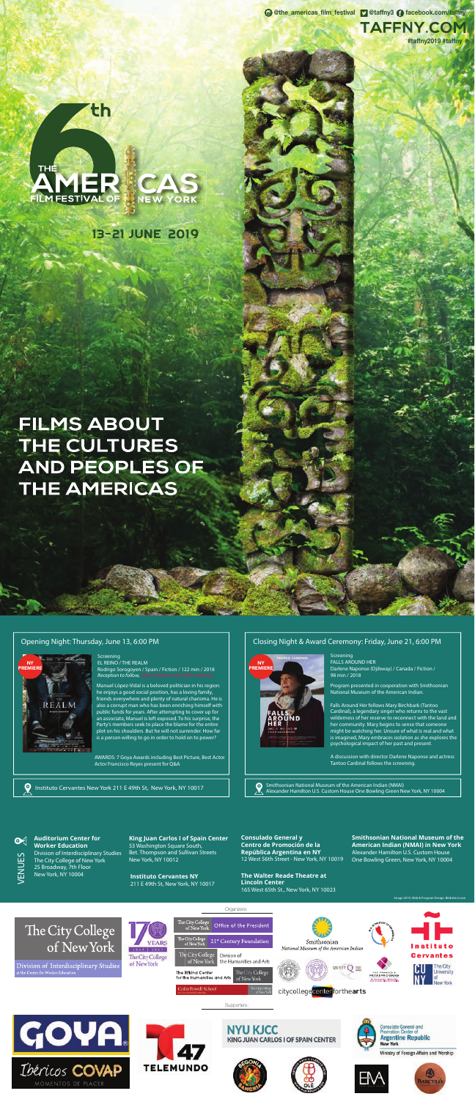#### **Auditorium Center for Worker Education**

Division of Interdisciplinary Studies The City College of New York 25 Broadway, 7th Floor New York, NY 10004 **Instituto Cervantes NY** 

#### Organizers: The City College<br>of New York Office of the President The City College The City College 21st Century Foundation of New York **YEARS** Smithsonian National Museum of the American Indian  $18+7$  $-2017$ The City College Division of Cervantes The City College of New York the Humanities and Arts Division of Interdisciplinary Studies of New York The City QUEST  $Q \equiv$ The City College University The Rifkind Center THE FRANCES S.<br>PATAI PROGRAM for the Humanities and Arts of New York **Colin Powell School** citycollegecenterforthearts Supporters: **GOVA Consulate General and<br>Promotion Center of NYU KJCC Argentine Republic** KING JUAN CARLOS I OF SPAIN CENTER **New York**



**LIVT** 









211 E 49th St, New York, NY 10017

**Smithsonian National Museum of the American Indian (NMAI) in New York** Alexander Hamilton U.S. Custom House One Bowling Green, New York, NY 10004

**King Juan Carlos I of Spain Center** 53 Washington Square South, Bet. Thompson and Sullivan Streets New York, NY 10012

> **The Walter Reade Theatre at Lincoln Center** 165 West 65th St., New York, NY 10023



 $\boldsymbol{\Theta}$ 

#### **Opening Night: Thursday, June 13, 6:00 PM**

#### **Screening** EL REINO / THE REALM Rodrigo Sorogoyen / Spain / Fiction / 122 min / 2018 *Reception to follow, \*By invitation only, RSVP required*

**Screening** FALLS AROUND HER Darlene Naponse (Ojibway) / Canada / Fiction / 98 min / 2018

Manuel López-Vidal is a beloved politician in his region: he enjoys a good social position, has a loving family, friends everywhere and plenty of natural charisma. He is also a corrupt man who has been enriching himself with public funds for years. After attempting to cover up for an associate, Manuel is left exposed. To his surprise, the Party's members seek to place the blame for the entire plot on his shoulders. But he will not surrender. How far is a person willing to go in order to hold on to power?

> **Smithsonian National Museum of the American Indian (NMAI)** Alexander Hamilton U.S. Custom House One Bowling Green New York, NY 10004

**TAFFNY.COM #taffny2019 #taffny**



th

**13-21 JUNE 2019** 

**FILMS ABOUT** THE CULTURES AND PEOPLES OF THE AMERICAS



Instituto Cervantes New York 211 E 49th St, New York, NY 10017

#### **Closing Night & Award Ceremony: Friday, June 21, 6:00 PM**

Program presented in cooperation with Smithsonian National Museum of the American Indian.

Falls Around Her follows Mary Birchbark (Tantoo Cardinal), a legendary singer who returns to the vast wilderness of her reserve to reconnect with the land and her community. Mary begins to sense that someone might be watching her. Unsure of what is real and what is imagined, Mary embraces isolation as she explores the psychological impact of her past and present.

A discussion with director Darlene Naponse and actress Tantoo Cardinal follows the screening.

**Consulado General y Centro de Promoción de la República Argentina en NY**  12 West 56th Street - New York, NY 10019

Image 2019, Web & Program Design: Bitdistrict.com

AWARDS: 7 Goya Awards including Best Picture, Best Actor. Actor Francisco Reyes present for Q&A





**@the\_americas\_film\_festival @taffny3 facebook.com/taffny**